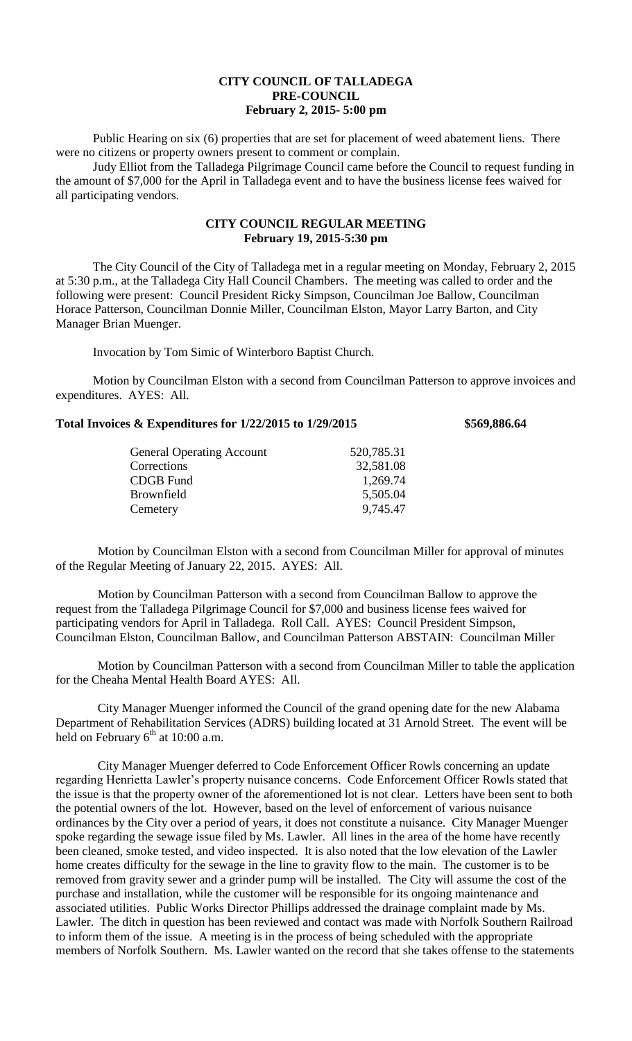## **CITY COUNCIL OF TALLADEGA PRE-COUNCIL February 2, 2015- 5:00 pm**

Public Hearing on six (6) properties that are set for placement of weed abatement liens. There were no citizens or property owners present to comment or complain.

Judy Elliot from the Talladega Pilgrimage Council came before the Council to request funding in the amount of \$7,000 for the April in Talladega event and to have the business license fees waived for all participating vendors.

## **CITY COUNCIL REGULAR MEETING February 19, 2015-5:30 pm**

The City Council of the City of Talladega met in a regular meeting on Monday, February 2, 2015 at 5:30 p.m., at the Talladega City Hall Council Chambers. The meeting was called to order and the following were present: Council President Ricky Simpson, Councilman Joe Ballow, Councilman Horace Patterson, Councilman Donnie Miller, Councilman Elston, Mayor Larry Barton, and City Manager Brian Muenger.

Invocation by Tom Simic of Winterboro Baptist Church.

Motion by Councilman Elston with a second from Councilman Patterson to approve invoices and expenditures. AYES: All.

## **Total Invoices & Expenditures for 1/22/2015 to 1/29/2015 \$569,886.64**

| <b>General Operating Account</b> | 520,785.31 |
|----------------------------------|------------|
| Corrections                      | 32,581.08  |
| <b>CDGB</b> Fund                 | 1,269.74   |
| Brownfield                       | 5,505.04   |
| Cemetery                         | 9,745.47   |
|                                  |            |

Motion by Councilman Elston with a second from Councilman Miller for approval of minutes of the Regular Meeting of January 22, 2015. AYES: All.

Motion by Councilman Patterson with a second from Councilman Ballow to approve the request from the Talladega Pilgrimage Council for \$7,000 and business license fees waived for participating vendors for April in Talladega. Roll Call. AYES: Council President Simpson, Councilman Elston, Councilman Ballow, and Councilman Patterson ABSTAIN: Councilman Miller

Motion by Councilman Patterson with a second from Councilman Miller to table the application for the Cheaha Mental Health Board AYES: All.

City Manager Muenger informed the Council of the grand opening date for the new Alabama Department of Rehabilitation Services (ADRS) building located at 31 Arnold Street. The event will be held on February  $6<sup>th</sup>$  at 10:00 a.m.

City Manager Muenger deferred to Code Enforcement Officer Rowls concerning an update regarding Henrietta Lawler's property nuisance concerns. Code Enforcement Officer Rowls stated that the issue is that the property owner of the aforementioned lot is not clear. Letters have been sent to both the potential owners of the lot. However, based on the level of enforcement of various nuisance ordinances by the City over a period of years, it does not constitute a nuisance. City Manager Muenger spoke regarding the sewage issue filed by Ms. Lawler. All lines in the area of the home have recently been cleaned, smoke tested, and video inspected. It is also noted that the low elevation of the Lawler home creates difficulty for the sewage in the line to gravity flow to the main. The customer is to be removed from gravity sewer and a grinder pump will be installed. The City will assume the cost of the purchase and installation, while the customer will be responsible for its ongoing maintenance and associated utilities. Public Works Director Phillips addressed the drainage complaint made by Ms. Lawler. The ditch in question has been reviewed and contact was made with Norfolk Southern Railroad to inform them of the issue. A meeting is in the process of being scheduled with the appropriate members of Norfolk Southern. Ms. Lawler wanted on the record that she takes offense to the statements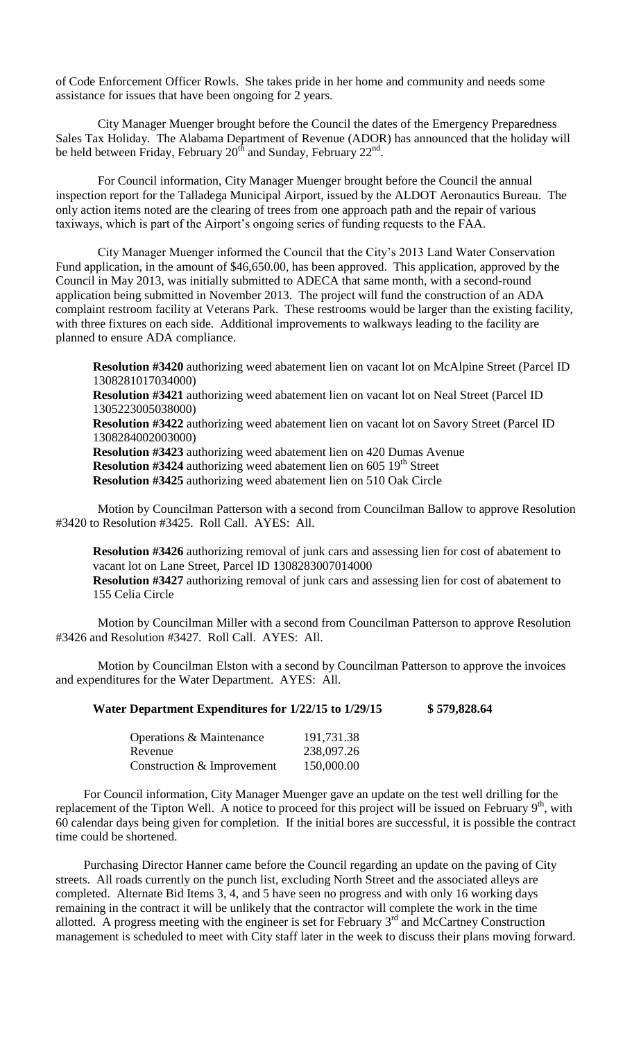of Code Enforcement Officer Rowls. She takes pride in her home and community and needs some assistance for issues that have been ongoing for 2 years.

City Manager Muenger brought before the Council the dates of the Emergency Preparedness Sales Tax Holiday. The Alabama Department of Revenue (ADOR) has announced that the holiday will be held between Friday, February  $20<sup>th</sup>$  and Sunday, February  $22<sup>nd</sup>$ .

For Council information, City Manager Muenger brought before the Council the annual inspection report for the Talladega Municipal Airport, issued by the ALDOT Aeronautics Bureau. The only action items noted are the clearing of trees from one approach path and the repair of various taxiways, which is part of the Airport's ongoing series of funding requests to the FAA.

City Manager Muenger informed the Council that the City's 2013 Land Water Conservation Fund application, in the amount of \$46,650.00, has been approved. This application, approved by the Council in May 2013, was initially submitted to ADECA that same month, with a second-round application being submitted in November 2013. The project will fund the construction of an ADA complaint restroom facility at Veterans Park. These restrooms would be larger than the existing facility, with three fixtures on each side. Additional improvements to walkways leading to the facility are planned to ensure ADA compliance.

**Resolution #3420** authorizing weed abatement lien on vacant lot on McAlpine Street (Parcel ID 1308281017034000) **Resolution #3421** authorizing weed abatement lien on vacant lot on Neal Street (Parcel ID 1305223005038000) **Resolution #3422** authorizing weed abatement lien on vacant lot on Savory Street (Parcel ID 1308284002003000) **Resolution #3423** authorizing weed abatement lien on 420 Dumas Avenue **Resolution #3424** authorizing weed abatement lien on 605 19<sup>th</sup> Street **Resolution #3425** authorizing weed abatement lien on 510 Oak Circle

Motion by Councilman Patterson with a second from Councilman Ballow to approve Resolution #3420 to Resolution #3425. Roll Call. AYES: All.

**Resolution #3426** authorizing removal of junk cars and assessing lien for cost of abatement to vacant lot on Lane Street, Parcel ID 1308283007014000 **Resolution #3427** authorizing removal of junk cars and assessing lien for cost of abatement to 155 Celia Circle

Motion by Councilman Miller with a second from Councilman Patterson to approve Resolution #3426 and Resolution #3427. Roll Call. AYES: All.

Motion by Councilman Elston with a second by Councilman Patterson to approve the invoices and expenditures for the Water Department. AYES: All.

| Water Department Expenditures for 1/22/15 to 1/29/15 | \$579,828.64 |
|------------------------------------------------------|--------------|
|------------------------------------------------------|--------------|

| <b>Operations &amp; Maintenance</b> | 191,731.38 |
|-------------------------------------|------------|
| Revenue                             | 238,097.26 |
| Construction & Improvement          | 150,000.00 |

For Council information, City Manager Muenger gave an update on the test well drilling for the replacement of the Tipton Well. A notice to proceed for this project will be issued on February  $9<sup>th</sup>$ , with 60 calendar days being given for completion. If the initial bores are successful, it is possible the contract time could be shortened.

Purchasing Director Hanner came before the Council regarding an update on the paving of City streets. All roads currently on the punch list, excluding North Street and the associated alleys are completed. Alternate Bid Items 3, 4, and 5 have seen no progress and with only 16 working days remaining in the contract it will be unlikely that the contractor will complete the work in the time allotted. A progress meeting with the engineer is set for February  $3<sup>rd</sup>$  and McCartney Construction management is scheduled to meet with City staff later in the week to discuss their plans moving forward.